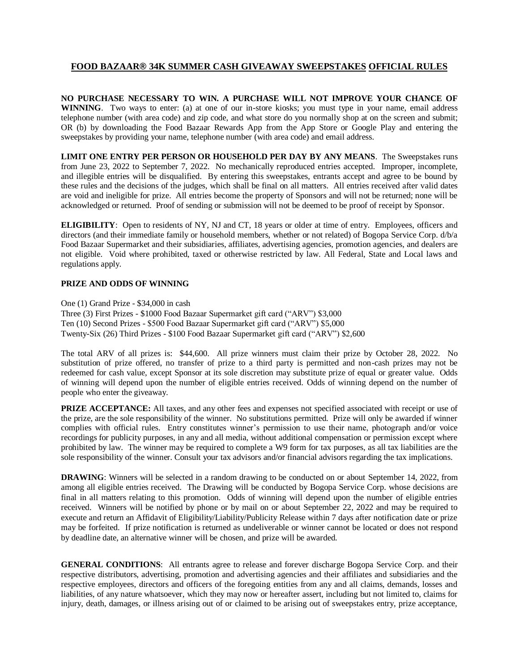## **FOOD BAZAAR® 34K SUMMER CASH GIVEAWAY SWEEPSTAKES OFFICIAL RULES**

**NO PURCHASE NECESSARY TO WIN. A PURCHASE WILL NOT IMPROVE YOUR CHANCE OF WINNING**. Two ways to enter: (a) at one of our in-store kiosks; you must type in your name, email address telephone number (with area code) and zip code, and what store do you normally shop at on the screen and submit; OR (b) by downloading the Food Bazaar Rewards App from the App Store or Google Play and entering the sweepstakes by providing your name, telephone number (with area code) and email address.

**LIMIT ONE ENTRY PER PERSON OR HOUSEHOLD PER DAY BY ANY MEANS**. The Sweepstakes runs from June 23, 2022 to September 7, 2022. No mechanically reproduced entries accepted. Improper, incomplete, and illegible entries will be disqualified. By entering this sweepstakes, entrants accept and agree to be bound by these rules and the decisions of the judges, which shall be final on all matters. All entries received after valid dates are void and ineligible for prize. All entries become the property of Sponsors and will not be returned; none will be acknowledged or returned. Proof of sending or submission will not be deemed to be proof of receipt by Sponsor.

**ELIGIBILITY**: Open to residents of NY, NJ and CT, 18 years or older at time of entry. Employees, officers and directors (and their immediate family or household members, whether or not related) of Bogopa Service Corp. d/b/a Food Bazaar Supermarket and their subsidiaries, affiliates, advertising agencies, promotion agencies, and dealers are not eligible. Void where prohibited, taxed or otherwise restricted by law. All Federal, State and Local laws and regulations apply.

## **PRIZE AND ODDS OF WINNING**

One (1) Grand Prize - \$34,000 in cash Three (3) First Prizes - \$1000 Food Bazaar Supermarket gift card ("ARV") \$3,000 Ten (10) Second Prizes - \$500 Food Bazaar Supermarket gift card ("ARV") \$5,000 Twenty-Six (26) Third Prizes - \$100 Food Bazaar Supermarket gift card ("ARV") \$2,600

The total ARV of all prizes is: \$44,600. All prize winners must claim their prize by October 28, 2022. No substitution of prize offered, no transfer of prize to a third party is permitted and non-cash prizes may not be redeemed for cash value, except Sponsor at its sole discretion may substitute prize of equal or greater value. Odds of winning will depend upon the number of eligible entries received. Odds of winning depend on the number of people who enter the giveaway.

**PRIZE ACCEPTANCE:** All taxes, and any other fees and expenses not specified associated with receipt or use of the prize, are the sole responsibility of the winner. No substitutions permitted. Prize will only be awarded if winner complies with official rules. Entry constitutes winner's permission to use their name, photograph and/or voice recordings for publicity purposes, in any and all media, without additional compensation or permission except where prohibited by law. The winner may be required to complete a W9 form for tax purposes, as all tax liabilities are the sole responsibility of the winner. Consult your tax advisors and/or financial advisors regarding the tax implications.

**DRAWING**: Winners will be selected in a random drawing to be conducted on or about September 14, 2022, from among all eligible entries received. The Drawing will be conducted by Bogopa Service Corp. whose decisions are final in all matters relating to this promotion. Odds of winning will depend upon the number of eligible entries received. Winners will be notified by phone or by mail on or about September 22, 2022 and may be required to execute and return an Affidavit of Eligibility/Liability/Publicity Release within 7 days after notification date or prize may be forfeited. If prize notification is returned as undeliverable or winner cannot be located or does not respond by deadline date, an alternative winner will be chosen, and prize will be awarded.

**GENERAL CONDITIONS**: All entrants agree to release and forever discharge Bogopa Service Corp. and their respective distributors, advertising, promotion and advertising agencies and their affiliates and subsidiaries and the respective employees, directors and officers of the foregoing entities from any and all claims, demands, losses and liabilities, of any nature whatsoever, which they may now or hereafter assert, including but not limited to, claims for injury, death, damages, or illness arising out of or claimed to be arising out of sweepstakes entry, prize acceptance,